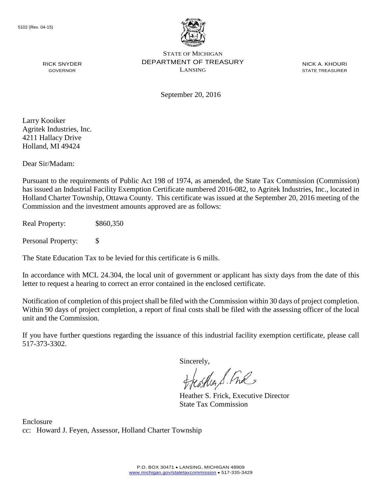

NICK A. KHOURI STATE TREASURER

September 20, 2016

Larry Kooiker Agritek Industries, Inc. 4211 Hallacy Drive Holland, MI 49424

RICK SNYDER GOVERNOR

Dear Sir/Madam:

Pursuant to the requirements of Public Act 198 of 1974, as amended, the State Tax Commission (Commission) has issued an Industrial Facility Exemption Certificate numbered 2016-082, to Agritek Industries, Inc., located in Holland Charter Township, Ottawa County. This certificate was issued at the September 20, 2016 meeting of the Commission and the investment amounts approved are as follows:

Real Property: \$860,350

Personal Property: \$

The State Education Tax to be levied for this certificate is 6 mills.

In accordance with MCL 24.304, the local unit of government or applicant has sixty days from the date of this letter to request a hearing to correct an error contained in the enclosed certificate.

Notification of completion of this project shall be filed with the Commission within 30 days of project completion. Within 90 days of project completion, a report of final costs shall be filed with the assessing officer of the local unit and the Commission.

If you have further questions regarding the issuance of this industrial facility exemption certificate, please call 517-373-3302.

Sincerely,

teaglien S. Ful

Heather S. Frick, Executive Director State Tax Commission

Enclosure cc: Howard J. Feyen, Assessor, Holland Charter Township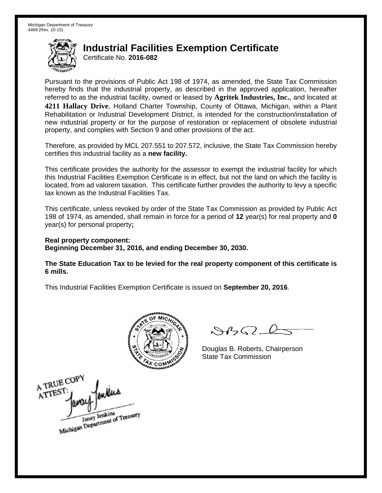Certificate No. **2016-082**

Pursuant to the provisions of Public Act 198 of 1974, as amended, the State Tax Commission hereby finds that the industrial property, as described in the approved application, hereafter referred to as the industrial facility, owned or leased by **Agritek Industries, Inc.**, and located at **4211 Hallacy Drive**, Holland Charter Township, County of Ottawa, Michigan, within a Plant Rehabilitation or Industrial Development District, is intended for the construction/installation of new industrial property or for the purpose of restoration or replacement of obsolete industrial property, and complies with Section 9 and other provisions of the act.

Therefore, as provided by MCL 207.551 to 207.572, inclusive, the State Tax Commission hereby certifies this industrial facility as a **new facility.**

This certificate provides the authority for the assessor to exempt the industrial facility for which this Industrial Facilities Exemption Certificate is in effect, but not the land on which the facility is located, from ad valorem taxation. This certificate further provides the authority to levy a specific tax known as the Industrial Facilities Tax.

This certificate, unless revoked by order of the State Tax Commission as provided by Public Act 198 of 1974, as amended, shall remain in force for a period of **12** year(s) for real property and **0** year(s) for personal property**;**

**Real property component: Beginning December 31, 2016, and ending December 30, 2030.**

**The State Education Tax to be levied for the real property component of this certificate is 6 mills.**



 $\mathcal{S}$ 

Douglas B. Roberts, Chairperson State Tax Commission

A TRUE COP ATTEST Janay Jenkins<br>Michigan Department of Treasury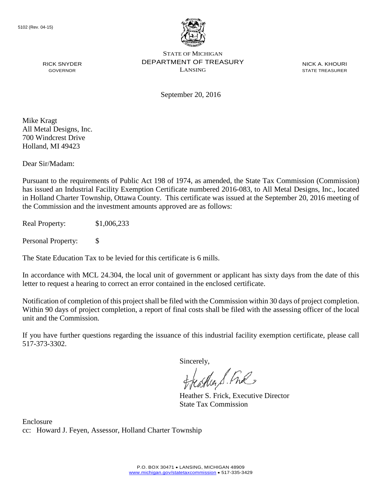

NICK A. KHOURI STATE TREASURER

September 20, 2016

Mike Kragt All Metal Designs, Inc. 700 Windcrest Drive Holland, MI 49423

RICK SNYDER GOVERNOR

Dear Sir/Madam:

Pursuant to the requirements of Public Act 198 of 1974, as amended, the State Tax Commission (Commission) has issued an Industrial Facility Exemption Certificate numbered 2016-083, to All Metal Designs, Inc., located in Holland Charter Township, Ottawa County. This certificate was issued at the September 20, 2016 meeting of the Commission and the investment amounts approved are as follows:

Real Property: \$1,006,233

Personal Property: \$

The State Education Tax to be levied for this certificate is 6 mills.

In accordance with MCL 24.304, the local unit of government or applicant has sixty days from the date of this letter to request a hearing to correct an error contained in the enclosed certificate.

Notification of completion of this project shall be filed with the Commission within 30 days of project completion. Within 90 days of project completion, a report of final costs shall be filed with the assessing officer of the local unit and the Commission.

If you have further questions regarding the issuance of this industrial facility exemption certificate, please call 517-373-3302.

Sincerely,

teagher & Fral

Heather S. Frick, Executive Director State Tax Commission

Enclosure cc: Howard J. Feyen, Assessor, Holland Charter Township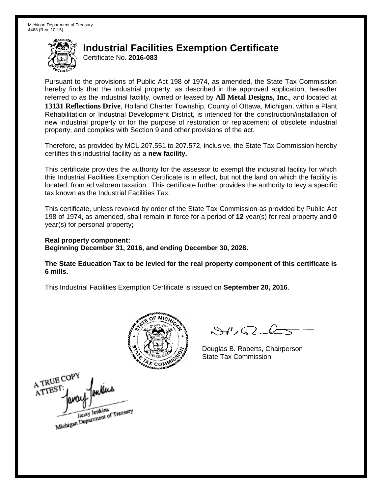Certificate No. **2016-083**

Pursuant to the provisions of Public Act 198 of 1974, as amended, the State Tax Commission hereby finds that the industrial property, as described in the approved application, hereafter referred to as the industrial facility, owned or leased by **All Metal Designs, Inc.**, and located at **13131 Reflections Drive**, Holland Charter Township, County of Ottawa, Michigan, within a Plant Rehabilitation or Industrial Development District, is intended for the construction/installation of new industrial property or for the purpose of restoration or replacement of obsolete industrial property, and complies with Section 9 and other provisions of the act.

Therefore, as provided by MCL 207.551 to 207.572, inclusive, the State Tax Commission hereby certifies this industrial facility as a **new facility.**

This certificate provides the authority for the assessor to exempt the industrial facility for which this Industrial Facilities Exemption Certificate is in effect, but not the land on which the facility is located, from ad valorem taxation. This certificate further provides the authority to levy a specific tax known as the Industrial Facilities Tax.

This certificate, unless revoked by order of the State Tax Commission as provided by Public Act 198 of 1974, as amended, shall remain in force for a period of **12** year(s) for real property and **0** year(s) for personal property**;**

**Real property component: Beginning December 31, 2016, and ending December 30, 2028.**

**The State Education Tax to be levied for the real property component of this certificate is 6 mills.**



 $\mathcal{S}$ 

Douglas B. Roberts, Chairperson State Tax Commission

A TRUE COP ATTEST Janay Jenkins<br>Michigan Department of Treasury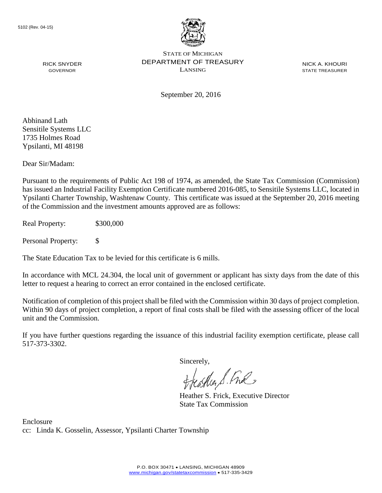

NICK A. KHOURI STATE TREASURER

September 20, 2016

Abhinand Lath Sensitile Systems LLC 1735 Holmes Road Ypsilanti, MI 48198

RICK SNYDER GOVERNOR

Dear Sir/Madam:

Pursuant to the requirements of Public Act 198 of 1974, as amended, the State Tax Commission (Commission) has issued an Industrial Facility Exemption Certificate numbered 2016-085, to Sensitile Systems LLC, located in Ypsilanti Charter Township, Washtenaw County. This certificate was issued at the September 20, 2016 meeting of the Commission and the investment amounts approved are as follows:

Real Property: \$300,000

Personal Property: \$

The State Education Tax to be levied for this certificate is 6 mills.

In accordance with MCL 24.304, the local unit of government or applicant has sixty days from the date of this letter to request a hearing to correct an error contained in the enclosed certificate.

Notification of completion of this project shall be filed with the Commission within 30 days of project completion. Within 90 days of project completion, a report of final costs shall be filed with the assessing officer of the local unit and the Commission.

If you have further questions regarding the issuance of this industrial facility exemption certificate, please call 517-373-3302.

Sincerely,

teagher S. Fral

Heather S. Frick, Executive Director State Tax Commission

Enclosure cc: Linda K. Gosselin, Assessor, Ypsilanti Charter Township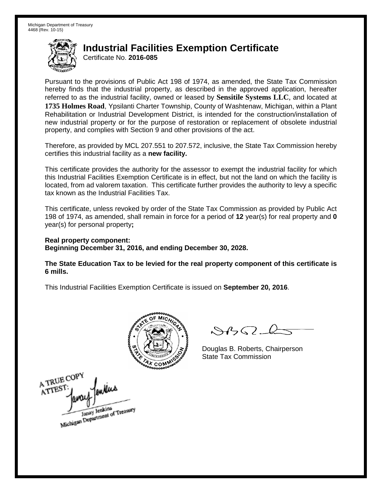Certificate No. **2016-085**

Pursuant to the provisions of Public Act 198 of 1974, as amended, the State Tax Commission hereby finds that the industrial property, as described in the approved application, hereafter referred to as the industrial facility, owned or leased by **Sensitile Systems LLC**, and located at **1735 Holmes Road**, Ypsilanti Charter Township, County of Washtenaw, Michigan, within a Plant Rehabilitation or Industrial Development District, is intended for the construction/installation of new industrial property or for the purpose of restoration or replacement of obsolete industrial property, and complies with Section 9 and other provisions of the act.

Therefore, as provided by MCL 207.551 to 207.572, inclusive, the State Tax Commission hereby certifies this industrial facility as a **new facility.**

This certificate provides the authority for the assessor to exempt the industrial facility for which this Industrial Facilities Exemption Certificate is in effect, but not the land on which the facility is located, from ad valorem taxation. This certificate further provides the authority to levy a specific tax known as the Industrial Facilities Tax.

This certificate, unless revoked by order of the State Tax Commission as provided by Public Act 198 of 1974, as amended, shall remain in force for a period of **12** year(s) for real property and **0** year(s) for personal property**;**

**Real property component: Beginning December 31, 2016, and ending December 30, 2028.**

**The State Education Tax to be levied for the real property component of this certificate is 6 mills.**



 $\mathcal{S}$ 

Douglas B. Roberts, Chairperson State Tax Commission

A TRUE COPY ATTEST Janay Jenkins<br>Michigan Department of Treasury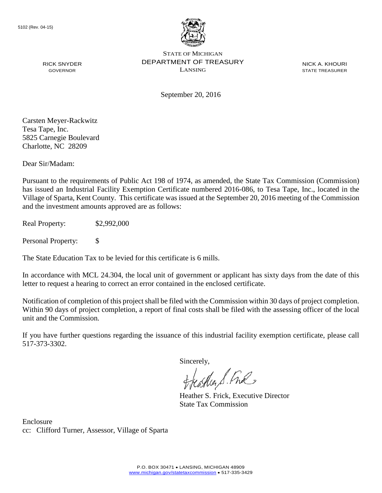

NICK A. KHOURI STATE TREASURER

September 20, 2016

Carsten Meyer-Rackwitz Tesa Tape, Inc. 5825 Carnegie Boulevard Charlotte, NC 28209

RICK SNYDER GOVERNOR

Dear Sir/Madam:

Pursuant to the requirements of Public Act 198 of 1974, as amended, the State Tax Commission (Commission) has issued an Industrial Facility Exemption Certificate numbered 2016-086, to Tesa Tape, Inc., located in the Village of Sparta, Kent County. This certificate was issued at the September 20, 2016 meeting of the Commission and the investment amounts approved are as follows:

Real Property: \$2,992,000

Personal Property: \$

The State Education Tax to be levied for this certificate is 6 mills.

In accordance with MCL 24.304, the local unit of government or applicant has sixty days from the date of this letter to request a hearing to correct an error contained in the enclosed certificate.

Notification of completion of this project shall be filed with the Commission within 30 days of project completion. Within 90 days of project completion, a report of final costs shall be filed with the assessing officer of the local unit and the Commission.

If you have further questions regarding the issuance of this industrial facility exemption certificate, please call 517-373-3302.

Sincerely,

teaglien S. Ful

Heather S. Frick, Executive Director State Tax Commission

Enclosure cc: Clifford Turner, Assessor, Village of Sparta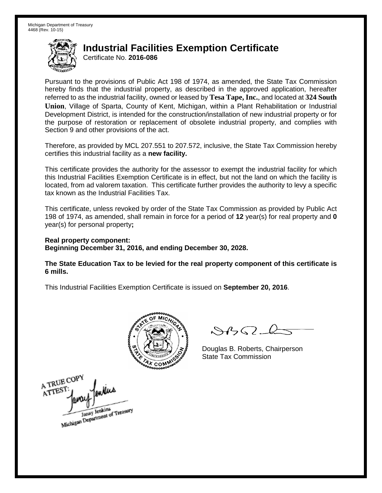Certificate No. **2016-086**

Pursuant to the provisions of Public Act 198 of 1974, as amended, the State Tax Commission hereby finds that the industrial property, as described in the approved application, hereafter referred to as the industrial facility, owned or leased by **Tesa Tape, Inc.**, and located at **324 South Union**, Village of Sparta, County of Kent, Michigan, within a Plant Rehabilitation or Industrial Development District, is intended for the construction/installation of new industrial property or for the purpose of restoration or replacement of obsolete industrial property, and complies with Section 9 and other provisions of the act.

Therefore, as provided by MCL 207.551 to 207.572, inclusive, the State Tax Commission hereby certifies this industrial facility as a **new facility.**

This certificate provides the authority for the assessor to exempt the industrial facility for which this Industrial Facilities Exemption Certificate is in effect, but not the land on which the facility is located, from ad valorem taxation. This certificate further provides the authority to levy a specific tax known as the Industrial Facilities Tax.

This certificate, unless revoked by order of the State Tax Commission as provided by Public Act 198 of 1974, as amended, shall remain in force for a period of **12** year(s) for real property and **0** year(s) for personal property**;**

**Real property component: Beginning December 31, 2016, and ending December 30, 2028.**

**The State Education Tax to be levied for the real property component of this certificate is 6 mills.**



 $\mathcal{S}$ 

Douglas B. Roberts, Chairperson State Tax Commission

A TRUE COPY ATTES Janay Jenkins<br>Michigan Department of Treasury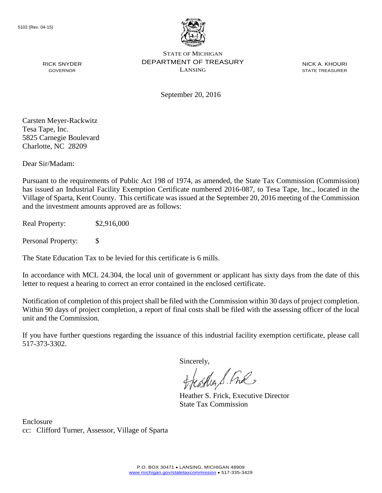

NICK A. KHOURI STATE TREASURER

September 20, 2016

Carsten Meyer-Rackwitz Tesa Tape, Inc. 5825 Carnegie Boulevard Charlotte, NC 28209

RICK SNYDER GOVERNOR

Dear Sir/Madam:

Pursuant to the requirements of Public Act 198 of 1974, as amended, the State Tax Commission (Commission) has issued an Industrial Facility Exemption Certificate numbered 2016-087, to Tesa Tape, Inc., located in the Village of Sparta, Kent County. This certificate was issued at the September 20, 2016 meeting of the Commission and the investment amounts approved are as follows:

Real Property: \$2,916,000

Personal Property: \$

The State Education Tax to be levied for this certificate is 6 mills.

In accordance with MCL 24.304, the local unit of government or applicant has sixty days from the date of this letter to request a hearing to correct an error contained in the enclosed certificate.

Notification of completion of this project shall be filed with the Commission within 30 days of project completion. Within 90 days of project completion, a report of final costs shall be filed with the assessing officer of the local unit and the Commission.

If you have further questions regarding the issuance of this industrial facility exemption certificate, please call 517-373-3302.

Sincerely,

teaglien S. Ful

Heather S. Frick, Executive Director State Tax Commission

Enclosure cc: Clifford Turner, Assessor, Village of Sparta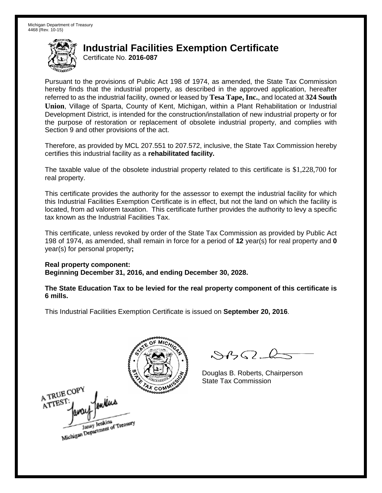Certificate No. **2016-087**

Pursuant to the provisions of Public Act 198 of 1974, as amended, the State Tax Commission hereby finds that the industrial property, as described in the approved application, hereafter referred to as the industrial facility, owned or leased by **Tesa Tape, Inc.**, and located at **324 South Union**, Village of Sparta, County of Kent, Michigan, within a Plant Rehabilitation or Industrial Development District, is intended for the construction/installation of new industrial property or for the purpose of restoration or replacement of obsolete industrial property, and complies with Section 9 and other provisions of the act.

Therefore, as provided by MCL 207.551 to 207.572, inclusive, the State Tax Commission hereby certifies this industrial facility as a **rehabilitated facility.**

The taxable value of the obsolete industrial property related to this certificate is \$1,228,700 for real property.

This certificate provides the authority for the assessor to exempt the industrial facility for which this Industrial Facilities Exemption Certificate is in effect, but not the land on which the facility is located, from ad valorem taxation. This certificate further provides the authority to levy a specific tax known as the Industrial Facilities Tax.

This certificate, unless revoked by order of the State Tax Commission as provided by Public Act 198 of 1974, as amended, shall remain in force for a period of **12** year(s) for real property and **0** year(s) for personal property**;**

**Real property component:**

**Beginning December 31, 2016, and ending December 30, 2028.**

**The State Education Tax to be levied for the real property component of this certificate is 6 mills.**

A TRUE COPY ATTEST Janay Jenkins<br>Michigan Department of Treasury

 $8450 - 6$ 

Douglas B. Roberts, Chairperson State Tax Commission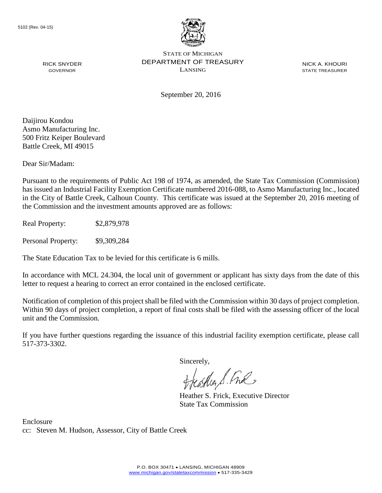

NICK A. KHOURI STATE TREASURER

September 20, 2016

Daijirou Kondou Asmo Manufacturing Inc. 500 Fritz Keiper Boulevard Battle Creek, MI 49015

RICK SNYDER GOVERNOR

Dear Sir/Madam:

Pursuant to the requirements of Public Act 198 of 1974, as amended, the State Tax Commission (Commission) has issued an Industrial Facility Exemption Certificate numbered 2016-088, to Asmo Manufacturing Inc., located in the City of Battle Creek, Calhoun County. This certificate was issued at the September 20, 2016 meeting of the Commission and the investment amounts approved are as follows:

Real Property: \$2,879,978

Personal Property: \$9,309,284

The State Education Tax to be levied for this certificate is 6 mills.

In accordance with MCL 24.304, the local unit of government or applicant has sixty days from the date of this letter to request a hearing to correct an error contained in the enclosed certificate.

Notification of completion of this project shall be filed with the Commission within 30 days of project completion. Within 90 days of project completion, a report of final costs shall be filed with the assessing officer of the local unit and the Commission.

If you have further questions regarding the issuance of this industrial facility exemption certificate, please call 517-373-3302.

Sincerely,

teather S. Ful

Heather S. Frick, Executive Director State Tax Commission

Enclosure cc: Steven M. Hudson, Assessor, City of Battle Creek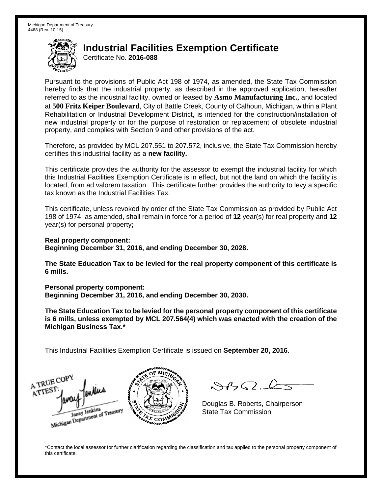Certificate No. **2016-088**

Pursuant to the provisions of Public Act 198 of 1974, as amended, the State Tax Commission hereby finds that the industrial property, as described in the approved application, hereafter referred to as the industrial facility, owned or leased by **Asmo Manufacturing Inc.**, and located at **500 Fritz Keiper Boulevard**, City of Battle Creek, County of Calhoun, Michigan, within a Plant Rehabilitation or Industrial Development District, is intended for the construction/installation of new industrial property or for the purpose of restoration or replacement of obsolete industrial property, and complies with Section 9 and other provisions of the act.

Therefore, as provided by MCL 207.551 to 207.572, inclusive, the State Tax Commission hereby certifies this industrial facility as a **new facility.**

This certificate provides the authority for the assessor to exempt the industrial facility for which this Industrial Facilities Exemption Certificate is in effect, but not the land on which the facility is located, from ad valorem taxation. This certificate further provides the authority to levy a specific tax known as the Industrial Facilities Tax.

This certificate, unless revoked by order of the State Tax Commission as provided by Public Act 198 of 1974, as amended, shall remain in force for a period of **12** year(s) for real property and **12** year(s) for personal property**;**

**Real property component: Beginning December 31, 2016, and ending December 30, 2028.**

**The State Education Tax to be levied for the real property component of this certificate is 6 mills.**

**Personal property component:**

**Beginning December 31, 2016, and ending December 30, 2030.**

**The State Education Tax to be levied for the personal property component of this certificate is 6 mills, unless exempted by MCL 207.564(4) which was enacted with the creation of the Michigan Business Tax.\***

This Industrial Facilities Exemption Certificate is issued on **September 20, 2016**.

A TRUE COP ATTES Janay Jenkins<br>Michigan Department of Treasury

 $\mathcal{S}4\mathcal{G}$ 

Douglas B. Roberts, Chairperson State Tax Commission

\*Contact the local assessor for further clarification regarding the classification and tax applied to the personal property component of this certificate.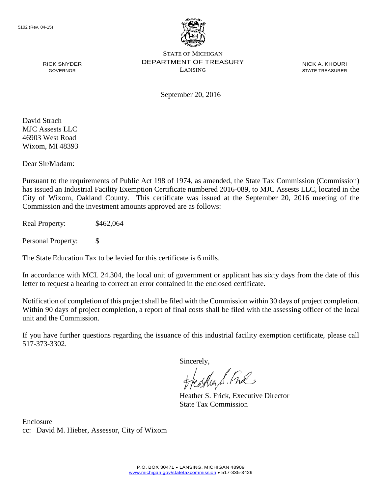

NICK A. KHOURI STATE TREASURER

RICK SNYDER GOVERNOR

September 20, 2016

David Strach MJC Assests LLC 46903 West Road Wixom, MI 48393

Dear Sir/Madam:

Pursuant to the requirements of Public Act 198 of 1974, as amended, the State Tax Commission (Commission) has issued an Industrial Facility Exemption Certificate numbered 2016-089, to MJC Assests LLC, located in the City of Wixom, Oakland County. This certificate was issued at the September 20, 2016 meeting of the Commission and the investment amounts approved are as follows:

Real Property: \$462,064

Personal Property: \$

The State Education Tax to be levied for this certificate is 6 mills.

In accordance with MCL 24.304, the local unit of government or applicant has sixty days from the date of this letter to request a hearing to correct an error contained in the enclosed certificate.

Notification of completion of this project shall be filed with the Commission within 30 days of project completion. Within 90 days of project completion, a report of final costs shall be filed with the assessing officer of the local unit and the Commission.

If you have further questions regarding the issuance of this industrial facility exemption certificate, please call 517-373-3302.

Sincerely,

teather S. Ful

Heather S. Frick, Executive Director State Tax Commission

Enclosure cc: David M. Hieber, Assessor, City of Wixom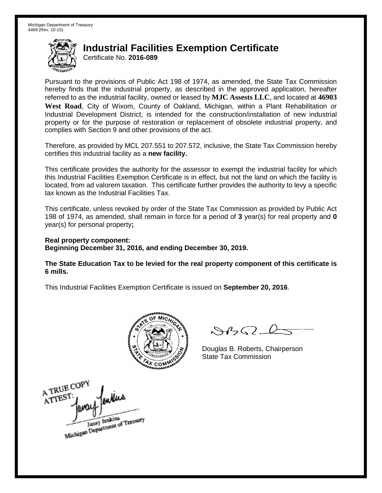Certificate No. **2016-089**

Pursuant to the provisions of Public Act 198 of 1974, as amended, the State Tax Commission hereby finds that the industrial property, as described in the approved application, hereafter referred to as the industrial facility, owned or leased by **MJC Assests LLC**, and located at **46903 West Road**, City of Wixom, County of Oakland, Michigan, within a Plant Rehabilitation or Industrial Development District, is intended for the construction/installation of new industrial property or for the purpose of restoration or replacement of obsolete industrial property, and complies with Section 9 and other provisions of the act.

Therefore, as provided by MCL 207.551 to 207.572, inclusive, the State Tax Commission hereby certifies this industrial facility as a **new facility.**

This certificate provides the authority for the assessor to exempt the industrial facility for which this Industrial Facilities Exemption Certificate is in effect, but not the land on which the facility is located, from ad valorem taxation. This certificate further provides the authority to levy a specific tax known as the Industrial Facilities Tax.

This certificate, unless revoked by order of the State Tax Commission as provided by Public Act 198 of 1974, as amended, shall remain in force for a period of **3** year(s) for real property and **0** year(s) for personal property**;**

**Real property component: Beginning December 31, 2016, and ending December 30, 2019.**

**The State Education Tax to be levied for the real property component of this certificate is 6 mills.**



 $\mathcal{S}$ 

Douglas B. Roberts, Chairperson State Tax Commission

A TRUE COPY wins ATTEST Janay Jenkins<br>Michigan Department of Treasury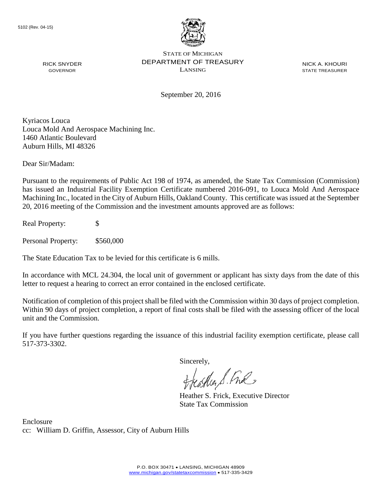

NICK A. KHOURI STATE TREASURER

September 20, 2016

Kyriacos Louca Louca Mold And Aerospace Machining Inc. 1460 Atlantic Boulevard Auburn Hills, MI 48326

Dear Sir/Madam:

RICK SNYDER GOVERNOR

Pursuant to the requirements of Public Act 198 of 1974, as amended, the State Tax Commission (Commission) has issued an Industrial Facility Exemption Certificate numbered 2016-091, to Louca Mold And Aerospace Machining Inc., located in the City of Auburn Hills, Oakland County. This certificate was issued at the September 20, 2016 meeting of the Commission and the investment amounts approved are as follows:

Real Property: \$

Personal Property: \$560,000

The State Education Tax to be levied for this certificate is 6 mills.

In accordance with MCL 24.304, the local unit of government or applicant has sixty days from the date of this letter to request a hearing to correct an error contained in the enclosed certificate.

Notification of completion of this project shall be filed with the Commission within 30 days of project completion. Within 90 days of project completion, a report of final costs shall be filed with the assessing officer of the local unit and the Commission.

If you have further questions regarding the issuance of this industrial facility exemption certificate, please call 517-373-3302.

Sincerely,

teagher S. Fral

Heather S. Frick, Executive Director State Tax Commission

Enclosure cc: William D. Griffin, Assessor, City of Auburn Hills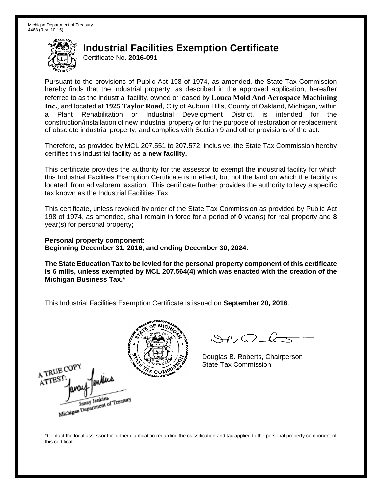A TRUE COP

Janay Jenkins<br>Michigan Department of Treasury

ATTES1

### **Industrial Facilities Exemption Certificate**

Certificate No. **2016-091**

Pursuant to the provisions of Public Act 198 of 1974, as amended, the State Tax Commission hereby finds that the industrial property, as described in the approved application, hereafter referred to as the industrial facility, owned or leased by **Louca Mold And Aerospace Machining Inc.**, and located at **1925 Taylor Road**, City of Auburn Hills, County of Oakland, Michigan, within a Plant Rehabilitation or Industrial Development District, is intended for the construction/installation of new industrial property or for the purpose of restoration or replacement of obsolete industrial property, and complies with Section 9 and other provisions of the act.

Therefore, as provided by MCL 207.551 to 207.572, inclusive, the State Tax Commission hereby certifies this industrial facility as a **new facility.**

This certificate provides the authority for the assessor to exempt the industrial facility for which this Industrial Facilities Exemption Certificate is in effect, but not the land on which the facility is located, from ad valorem taxation. This certificate further provides the authority to levy a specific tax known as the Industrial Facilities Tax.

This certificate, unless revoked by order of the State Tax Commission as provided by Public Act 198 of 1974, as amended, shall remain in force for a period of **0** year(s) for real property and **8** year(s) for personal property**;**

**Personal property component: Beginning December 31, 2016, and ending December 30, 2024.**

**The State Education Tax to be levied for the personal property component of this certificate is 6 mills, unless exempted by MCL 207.564(4) which was enacted with the creation of the Michigan Business Tax.\***

This Industrial Facilities Exemption Certificate is issued on **September 20, 2016**.



 $\mathcal{S}4\mathcal{G}$ 

Douglas B. Roberts, Chairperson State Tax Commission

\*Contact the local assessor for further clarification regarding the classification and tax applied to the personal property component of this certificate.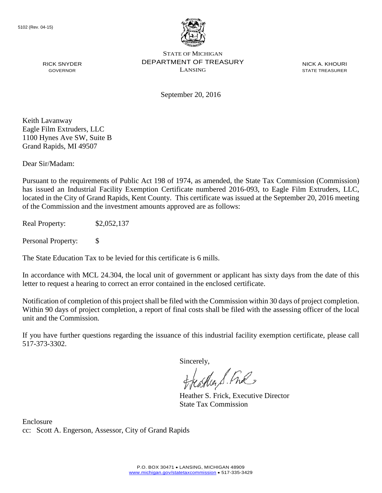

NICK A. KHOURI STATE TREASURER

September 20, 2016

Keith Lavanway Eagle Film Extruders, LLC 1100 Hynes Ave SW, Suite B Grand Rapids, MI 49507

RICK SNYDER GOVERNOR

Dear Sir/Madam:

Pursuant to the requirements of Public Act 198 of 1974, as amended, the State Tax Commission (Commission) has issued an Industrial Facility Exemption Certificate numbered 2016-093, to Eagle Film Extruders, LLC, located in the City of Grand Rapids, Kent County. This certificate was issued at the September 20, 2016 meeting of the Commission and the investment amounts approved are as follows:

Real Property: \$2,052,137

Personal Property: \$

The State Education Tax to be levied for this certificate is 6 mills.

In accordance with MCL 24.304, the local unit of government or applicant has sixty days from the date of this letter to request a hearing to correct an error contained in the enclosed certificate.

Notification of completion of this project shall be filed with the Commission within 30 days of project completion. Within 90 days of project completion, a report of final costs shall be filed with the assessing officer of the local unit and the Commission.

If you have further questions regarding the issuance of this industrial facility exemption certificate, please call 517-373-3302.

Sincerely,

teagher & Fral

Heather S. Frick, Executive Director State Tax Commission

Enclosure cc: Scott A. Engerson, Assessor, City of Grand Rapids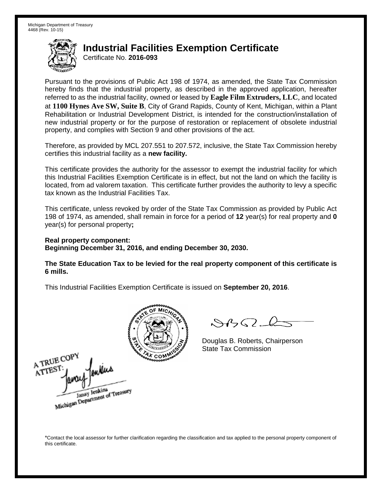Certificate No. **2016-093**

Pursuant to the provisions of Public Act 198 of 1974, as amended, the State Tax Commission hereby finds that the industrial property, as described in the approved application, hereafter referred to as the industrial facility, owned or leased by **Eagle Film Extruders, LLC**, and located at **1100 Hynes Ave SW, Suite B**, City of Grand Rapids, County of Kent, Michigan, within a Plant Rehabilitation or Industrial Development District, is intended for the construction/installation of new industrial property or for the purpose of restoration or replacement of obsolete industrial property, and complies with Section 9 and other provisions of the act.

Therefore, as provided by MCL 207.551 to 207.572, inclusive, the State Tax Commission hereby certifies this industrial facility as a **new facility.**

This certificate provides the authority for the assessor to exempt the industrial facility for which this Industrial Facilities Exemption Certificate is in effect, but not the land on which the facility is located, from ad valorem taxation. This certificate further provides the authority to levy a specific tax known as the Industrial Facilities Tax.

This certificate, unless revoked by order of the State Tax Commission as provided by Public Act 198 of 1974, as amended, shall remain in force for a period of **12** year(s) for real property and **0** year(s) for personal property**;**

#### **Real property component: Beginning December 31, 2016, and ending December 30, 2030.**

**The State Education Tax to be levied for the real property component of this certificate is 6 mills.**

This Industrial Facilities Exemption Certificate is issued on **September 20, 2016**.



 $\mathcal{A}$ 

Douglas B. Roberts, Chairperson State Tax Commission

A TRUE COPY ATTEST Janay Jenkins<br>Michigan Department of Treasury

\*Contact the local assessor for further clarification regarding the classification and tax applied to the personal property component of this certificate.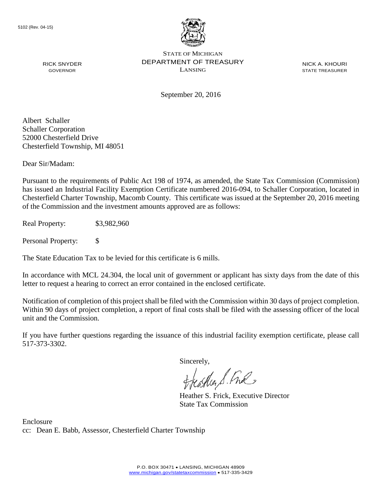

NICK A. KHOURI STATE TREASURER

September 20, 2016

Albert Schaller Schaller Corporation 52000 Chesterfield Drive Chesterfield Township, MI 48051

RICK SNYDER GOVERNOR

Dear Sir/Madam:

Pursuant to the requirements of Public Act 198 of 1974, as amended, the State Tax Commission (Commission) has issued an Industrial Facility Exemption Certificate numbered 2016-094, to Schaller Corporation, located in Chesterfield Charter Township, Macomb County. This certificate was issued at the September 20, 2016 meeting of the Commission and the investment amounts approved are as follows:

Real Property: \$3,982,960

Personal Property: \$

The State Education Tax to be levied for this certificate is 6 mills.

In accordance with MCL 24.304, the local unit of government or applicant has sixty days from the date of this letter to request a hearing to correct an error contained in the enclosed certificate.

Notification of completion of this project shall be filed with the Commission within 30 days of project completion. Within 90 days of project completion, a report of final costs shall be filed with the assessing officer of the local unit and the Commission.

If you have further questions regarding the issuance of this industrial facility exemption certificate, please call 517-373-3302.

Sincerely,

teaglien S. Ful

Heather S. Frick, Executive Director State Tax Commission

Enclosure cc: Dean E. Babb, Assessor, Chesterfield Charter Township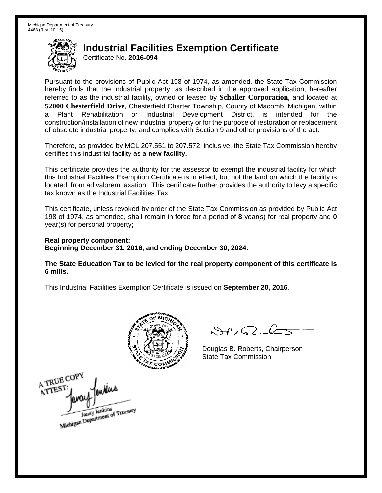Certificate No. **2016-094**

Pursuant to the provisions of Public Act 198 of 1974, as amended, the State Tax Commission hereby finds that the industrial property, as described in the approved application, hereafter referred to as the industrial facility, owned or leased by **Schaller Corporation**, and located at **52000 Chesterfield Drive**, Chesterfield Charter Township, County of Macomb, Michigan, within a Plant Rehabilitation or Industrial Development District, is intended for the construction/installation of new industrial property or for the purpose of restoration or replacement of obsolete industrial property, and complies with Section 9 and other provisions of the act.

Therefore, as provided by MCL 207.551 to 207.572, inclusive, the State Tax Commission hereby certifies this industrial facility as a **new facility.**

This certificate provides the authority for the assessor to exempt the industrial facility for which this Industrial Facilities Exemption Certificate is in effect, but not the land on which the facility is located, from ad valorem taxation. This certificate further provides the authority to levy a specific tax known as the Industrial Facilities Tax.

This certificate, unless revoked by order of the State Tax Commission as provided by Public Act 198 of 1974, as amended, shall remain in force for a period of **8** year(s) for real property and **0** year(s) for personal property**;**

**Real property component: Beginning December 31, 2016, and ending December 30, 2024.**

**The State Education Tax to be levied for the real property component of this certificate is 6 mills.**



 $\mathcal{S}$ 

Douglas B. Roberts, Chairperson State Tax Commission

A TRUE COPY ATTEST Janay Jenkins<br>Michigan Department of Treasury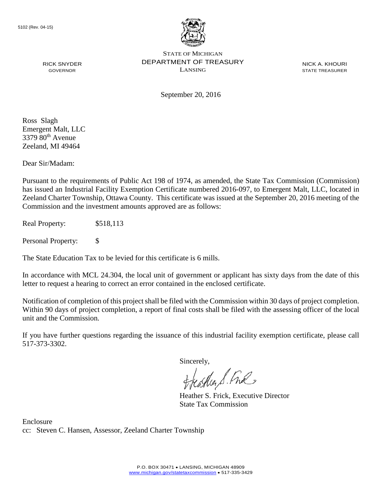

NICK A. KHOURI STATE TREASURER

September 20, 2016

Ross Slagh Emergent Malt, LLC  $3379.80^{th}$  Avenue Zeeland, MI 49464

RICK SNYDER GOVERNOR

Dear Sir/Madam:

Pursuant to the requirements of Public Act 198 of 1974, as amended, the State Tax Commission (Commission) has issued an Industrial Facility Exemption Certificate numbered 2016-097, to Emergent Malt, LLC, located in Zeeland Charter Township, Ottawa County. This certificate was issued at the September 20, 2016 meeting of the Commission and the investment amounts approved are as follows:

Real Property: \$518,113

Personal Property: \$

The State Education Tax to be levied for this certificate is 6 mills.

In accordance with MCL 24.304, the local unit of government or applicant has sixty days from the date of this letter to request a hearing to correct an error contained in the enclosed certificate.

Notification of completion of this project shall be filed with the Commission within 30 days of project completion. Within 90 days of project completion, a report of final costs shall be filed with the assessing officer of the local unit and the Commission.

If you have further questions regarding the issuance of this industrial facility exemption certificate, please call 517-373-3302.

Sincerely,

teaglier S. Ful

Heather S. Frick, Executive Director State Tax Commission

Enclosure cc: Steven C. Hansen, Assessor, Zeeland Charter Township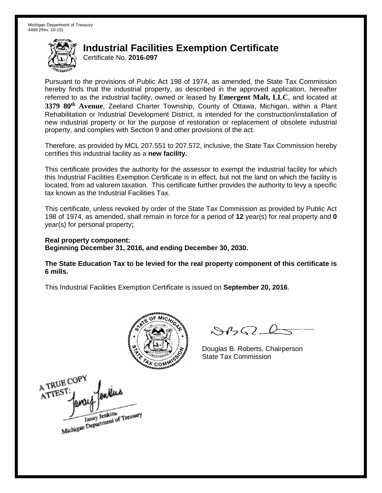Certificate No. **2016-097**

Pursuant to the provisions of Public Act 198 of 1974, as amended, the State Tax Commission hereby finds that the industrial property, as described in the approved application, hereafter referred to as the industrial facility, owned or leased by **Emergent Malt, LLC**, and located at **3379 80th Avenue**, Zeeland Charter Township, County of Ottawa, Michigan, within a Plant Rehabilitation or Industrial Development District, is intended for the construction/installation of new industrial property or for the purpose of restoration or replacement of obsolete industrial property, and complies with Section 9 and other provisions of the act.

Therefore, as provided by MCL 207.551 to 207.572, inclusive, the State Tax Commission hereby certifies this industrial facility as a **new facility.**

This certificate provides the authority for the assessor to exempt the industrial facility for which this Industrial Facilities Exemption Certificate is in effect, but not the land on which the facility is located, from ad valorem taxation. This certificate further provides the authority to levy a specific tax known as the Industrial Facilities Tax.

This certificate, unless revoked by order of the State Tax Commission as provided by Public Act 198 of 1974, as amended, shall remain in force for a period of **12** year(s) for real property and **0** year(s) for personal property**;**

**Real property component: Beginning December 31, 2016, and ending December 30, 2030.**

**The State Education Tax to be levied for the real property component of this certificate is 6 mills.**



 $\mathcal{S}$ 

Douglas B. Roberts, Chairperson State Tax Commission

A TRUE COP ATTEST Janay Jenkins<br>Michigan Department of Treasury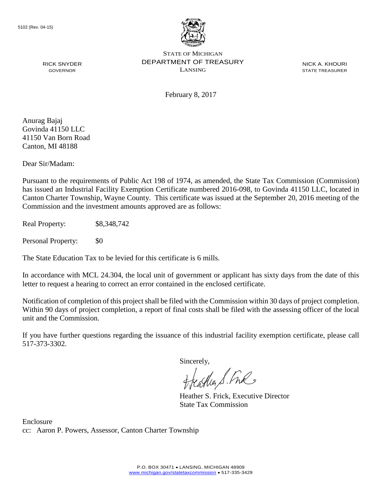

NICK A. KHOURI STATE TREASURER

February 8, 2017

Anurag Bajaj Govinda 41150 LLC 41150 Van Born Road Canton, MI 48188

RICK SNYDER GOVERNOR

Dear Sir/Madam:

Pursuant to the requirements of Public Act 198 of 1974, as amended, the State Tax Commission (Commission) has issued an Industrial Facility Exemption Certificate numbered 2016-098, to Govinda 41150 LLC, located in Canton Charter Township, Wayne County. This certificate was issued at the September 20, 2016 meeting of the Commission and the investment amounts approved are as follows:

Real Property: \$8,348,742

Personal Property: \$0

The State Education Tax to be levied for this certificate is 6 mills.

In accordance with MCL 24.304, the local unit of government or applicant has sixty days from the date of this letter to request a hearing to correct an error contained in the enclosed certificate.

Notification of completion of this project shall be filed with the Commission within 30 days of project completion. Within 90 days of project completion, a report of final costs shall be filed with the assessing officer of the local unit and the Commission.

If you have further questions regarding the issuance of this industrial facility exemption certificate, please call 517-373-3302.

Sincerely,

treastles S. Fre

Heather S. Frick, Executive Director State Tax Commission

Enclosure cc: Aaron P. Powers, Assessor, Canton Charter Township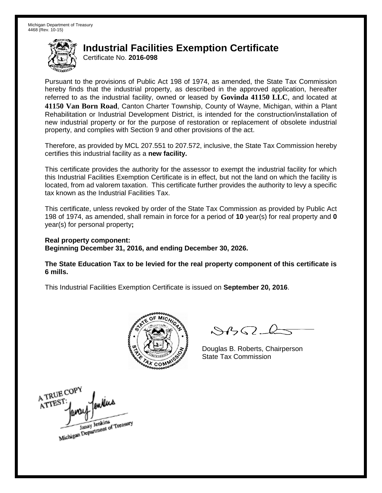Certificate No. **2016-098**

Pursuant to the provisions of Public Act 198 of 1974, as amended, the State Tax Commission hereby finds that the industrial property, as described in the approved application, hereafter referred to as the industrial facility, owned or leased by **Govinda 41150 LLC**, and located at **41150 Van Born Road**, Canton Charter Township, County of Wayne, Michigan, within a Plant Rehabilitation or Industrial Development District, is intended for the construction/installation of new industrial property or for the purpose of restoration or replacement of obsolete industrial property, and complies with Section 9 and other provisions of the act.

Therefore, as provided by MCL 207.551 to 207.572, inclusive, the State Tax Commission hereby certifies this industrial facility as a **new facility.** 

This certificate provides the authority for the assessor to exempt the industrial facility for which this Industrial Facilities Exemption Certificate is in effect, but not the land on which the facility is located, from ad valorem taxation. This certificate further provides the authority to levy a specific tax known as the Industrial Facilities Tax.

This certificate, unless revoked by order of the State Tax Commission as provided by Public Act 198 of 1974, as amended, shall remain in force for a period of **10** year(s) for real property and **0** year(s) for personal property**;** 

**Real property component: Beginning December 31, 2016, and ending December 30, 2026.** 

**The State Education Tax to be levied for the real property component of this certificate is 6 mills.** 



 $\mathcal{S}$ 

Douglas B. Roberts, Chairperson State Tax Commission

A TRUE COPY ATTEST Janay Jenkins<br>Michigan Department of Treasury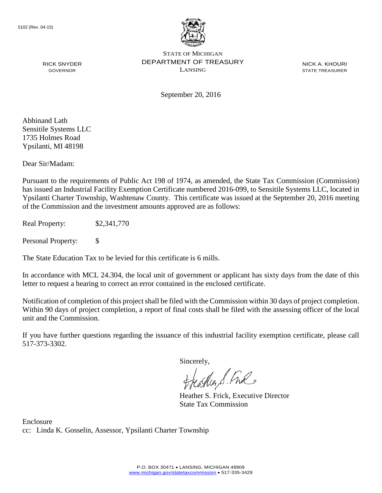

NICK A. KHOURI STATE TREASURER

September 20, 2016

Abhinand Lath Sensitile Systems LLC 1735 Holmes Road Ypsilanti, MI 48198

RICK SNYDER GOVERNOR

Dear Sir/Madam:

Pursuant to the requirements of Public Act 198 of 1974, as amended, the State Tax Commission (Commission) has issued an Industrial Facility Exemption Certificate numbered 2016-099, to Sensitile Systems LLC, located in Ypsilanti Charter Township, Washtenaw County. This certificate was issued at the September 20, 2016 meeting of the Commission and the investment amounts approved are as follows:

Real Property: \$2,341,770

Personal Property: \$

The State Education Tax to be levied for this certificate is 6 mills.

In accordance with MCL 24.304, the local unit of government or applicant has sixty days from the date of this letter to request a hearing to correct an error contained in the enclosed certificate.

Notification of completion of this project shall be filed with the Commission within 30 days of project completion. Within 90 days of project completion, a report of final costs shall be filed with the assessing officer of the local unit and the Commission.

If you have further questions regarding the issuance of this industrial facility exemption certificate, please call 517-373-3302.

Sincerely,

teagher S. Fral

Heather S. Frick, Executive Director State Tax Commission

Enclosure cc: Linda K. Gosselin, Assessor, Ypsilanti Charter Township